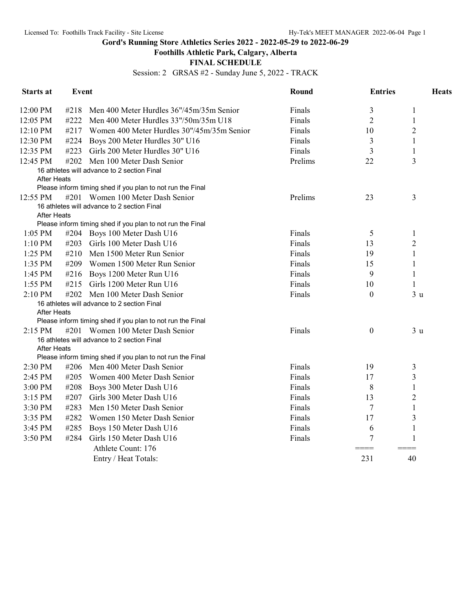**Gord's Running Store Athletics Series 2022 - 2022-05-29 to 2022-06-29**

## **Foothills Athletic Park, Calgary, Alberta**

## **FINAL SCHEDULE**

Session: 2 GRSAS #2 - Sunday June 5, 2022 - TRACK

| <b>Starts at</b>   | <b>Event</b> |                                                                                 | Round   | <b>Entries</b>   | <b>Heats</b>   |  |
|--------------------|--------------|---------------------------------------------------------------------------------|---------|------------------|----------------|--|
| 12:00 PM           | #218         | Men 400 Meter Hurdles 36"/45m/35m Senior                                        | Finals  | 3                | $\mathbf{1}$   |  |
| 12:05 PM           | #222         | Men 400 Meter Hurdles 33"/50m/35m U18                                           | Finals  | $\overline{c}$   | $\mathbf{1}$   |  |
| 12:10 PM           | #217         | Women 400 Meter Hurdles 30"/45m/35m Senior                                      | Finals  | 10               | $\overline{2}$ |  |
| 12:30 PM           | #224         | Boys 200 Meter Hurdles 30" U16                                                  | Finals  | 3                | $\mathbf{1}$   |  |
| 12:35 PM           | #223         | Girls 200 Meter Hurdles 30" U16                                                 | Finals  | 3                | $\mathbf{1}$   |  |
| 12:45 PM           | #202         | Men 100 Meter Dash Senior                                                       | Prelims | 22               | 3              |  |
| <b>After Heats</b> |              | 16 athletes will advance to 2 section Final                                     |         |                  |                |  |
|                    |              | Please inform timing shed if you plan to not run the Final                      |         |                  |                |  |
| 12:55 PM           |              | #201 Women 100 Meter Dash Senior<br>16 athletes will advance to 2 section Final | Prelims | 23               | 3              |  |
| <b>After Heats</b> |              |                                                                                 |         |                  |                |  |
|                    |              | Please inform timing shed if you plan to not run the Final                      |         |                  |                |  |
| $1:05$ PM          |              | #204 Boys 100 Meter Dash U16                                                    | Finals  | 5                | $\mathbf{1}$   |  |
| 1:10 PM            | #203         | Girls 100 Meter Dash U16                                                        | Finals  | 13               | $\overline{2}$ |  |
| 1:25 PM            | #210         | Men 1500 Meter Run Senior                                                       | Finals  | 19               | $\mathbf{1}$   |  |
| 1:35 PM            | #209         | Women 1500 Meter Run Senior                                                     | Finals  | 15               | $\mathbf{1}$   |  |
| 1:45 PM            | #216         | Boys 1200 Meter Run U16                                                         | Finals  | 9                | $\mathbf{1}$   |  |
| 1:55 PM            | #215         | Girls 1200 Meter Run U16                                                        | Finals  | 10               | $\mathbf{1}$   |  |
| 2:10 PM            |              | #202 Men 100 Meter Dash Senior                                                  | Finals  | $\boldsymbol{0}$ | 3 <sub>u</sub> |  |
|                    |              | 16 athletes will advance to 2 section Final                                     |         |                  |                |  |
| <b>After Heats</b> |              |                                                                                 |         |                  |                |  |
|                    |              | Please inform timing shed if you plan to not run the Final                      |         |                  |                |  |
| $2:15 \text{ PM}$  |              | #201 Women 100 Meter Dash Senior<br>16 athletes will advance to 2 section Final | Finals  | $\boldsymbol{0}$ | 3 <sub>u</sub> |  |
| <b>After Heats</b> |              |                                                                                 |         |                  |                |  |
|                    |              | Please inform timing shed if you plan to not run the Final                      |         |                  |                |  |
| 2:30 PM            |              | #206 Men 400 Meter Dash Senior                                                  | Finals  | 19               | 3              |  |
| 2:45 PM            | #205         | Women 400 Meter Dash Senior                                                     | Finals  | 17               | $\mathfrak{Z}$ |  |
| 3:00 PM            | #208         | Boys 300 Meter Dash U16                                                         | Finals  | 8                | $\mathbf{1}$   |  |
| 3:15 PM            | #207         | Girls 300 Meter Dash U16                                                        | Finals  | 13               | $\overline{c}$ |  |
| 3:30 PM            | #283         | Men 150 Meter Dash Senior                                                       | Finals  | 7                | $\mathbf{1}$   |  |
| 3:35 PM            | #282         | Women 150 Meter Dash Senior                                                     | Finals  | 17               | 3              |  |
| 3:45 PM            | #285         | Boys 150 Meter Dash U16                                                         | Finals  | 6                | $\mathbf{1}$   |  |
| 3:50 PM            | #284         | Girls 150 Meter Dash U16                                                        | Finals  | 7                | $\mathbf{1}$   |  |
|                    |              | Athlete Count: 176                                                              |         | ====             | $== ==$        |  |
|                    |              | Entry / Heat Totals:                                                            |         | 231              | 40             |  |